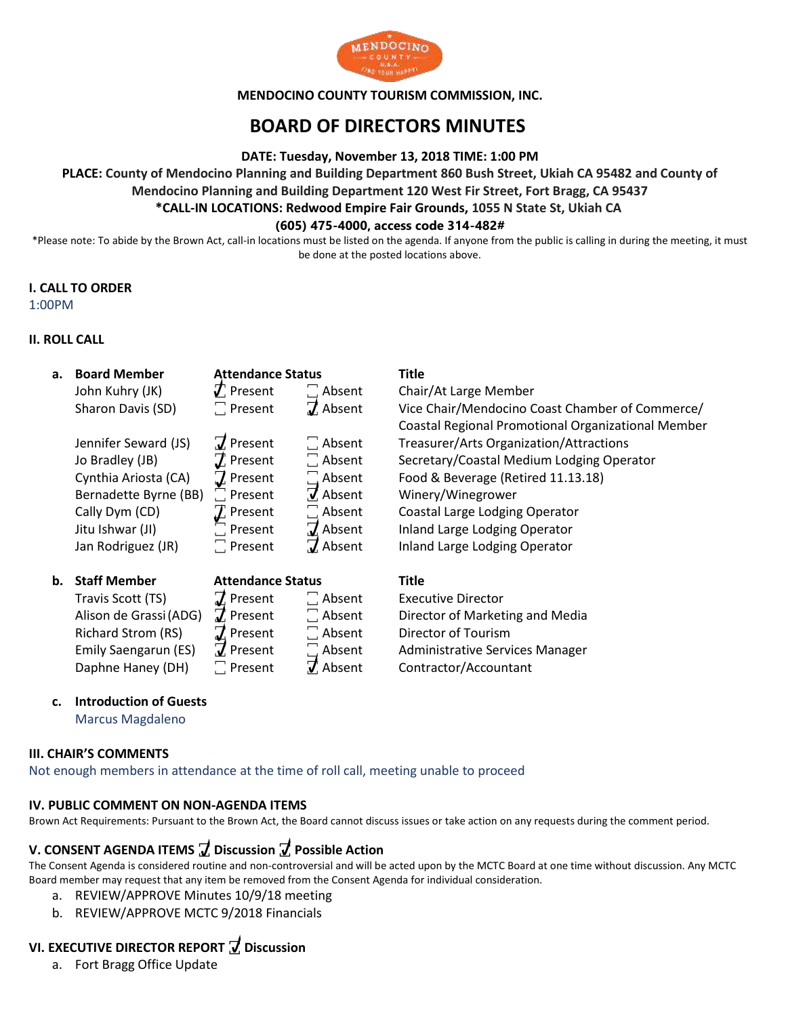

**MENDOCINO COUNTY TOURISM COMMISSION, INC.**

# **BOARD OF DIRECTORS MINUTES**

#### **DATE: Tuesday, November 13, 2018 TIME: 1:00 PM**

**PLACE: County of Mendocino Planning and Building Department 860 Bush Street, Ukiah CA 95482 and County of Mendocino Planning and Building Department 120 West Fir Street, Fort Bragg, CA 95437**

**\*CALL-IN LOCATIONS: Redwood Empire Fair Grounds, 1055 N State St, Ukiah CA**

### **(605) 475-4000, access code 314-482#**

\*Please note: To abide by the Brown Act, call-in locations must be listed on the agenda. If anyone from the public is calling in during the meeting, it must be done at the posted locations above.

### **I. CALL TO ORDER**

1:00PM

## **II. ROLL CALL**

| а. | <b>Board Member</b>       | <b>Attendance Status</b> |                       | <b>Title</b>                                       |
|----|---------------------------|--------------------------|-----------------------|----------------------------------------------------|
|    | John Kuhry (JK)           | $\vec{J}$ Present        | $\Box$ Absent         | Chair/At Large Member                              |
|    | Sharon Davis (SD)         | $\Box$ Present           | $J$ Absent            | Vice Chair/Mendocino Coast Chamber of Commerce/    |
|    |                           |                          |                       | Coastal Regional Promotional Organizational Member |
|    | Jennifer Seward (JS)      | $\overline{J}$ Present   | $\Box$ Absent         | Treasurer/Arts Organization/Attractions            |
|    | Jo Bradley (JB)           | $T$ Present              | $\Box$ Absent         | Secretary/Coastal Medium Lodging Operator          |
|    | Cynthia Ariosta (CA)      | $\mathbf I$ Present      | Absent<br>J Absent    | Food & Beverage (Retired 11.13.18)                 |
|    | Bernadette Byrne (BB)     | $\Box$ Present           |                       | Winery/Winegrower                                  |
|    | Cally Dym (CD)            | $T$ Present              | $\Box$ Absent         | Coastal Large Lodging Operator                     |
|    | Jitu Ishwar (JI)          | Present                  | $\overline{J}$ Absent | Inland Large Lodging Operator                      |
|    | Jan Rodriguez (JR)        | $\Box$ Present           | 7 Absent              | Inland Large Lodging Operator                      |
| b. | <b>Staff Member</b>       | <b>Attendance Status</b> |                       | <b>Title</b>                                       |
|    | Travis Scott (TS)         | $\overline{J}$ Present   | $\Box$ Absent         | <b>Executive Director</b>                          |
|    | Alison de Grassi (ADG)    | $\overline{J}$ Present   | $\Box$ Absent         | Director of Marketing and Media                    |
|    | <b>Richard Strom (RS)</b> | $\overline{J}$ Present   | $\Box$ Absent         | Director of Tourism                                |
|    | Emily Saengarun (ES)      | $\overline{J}$ Present   | $\Box$ Absent         | Administrative Services Manager                    |
|    | Daphne Haney (DH)         | $\Box$ Present           | $J$ Absent            | Contractor/Accountant                              |

### **c. Introduction of Guests**

Marcus Magdaleno

#### **III. CHAIR'S COMMENTS**

Not enough members in attendance at the time of roll call, meeting unable to proceed

### **IV. PUBLIC COMMENT ON NON-AGENDA ITEMS**

Brown Act Requirements: Pursuant to the Brown Act, the Board cannot discuss issues or take action on any requests during the comment period.

## **V. CONSENT AGENDA ITEMS ꙱ Discussion ꙱ Possible Action**

The Consent Agenda is considered routine and non-controversial and will be acted upon by the MCTC Board at one time without discussion. Any MCTC Board member may request that any item be removed from the Consent Agenda for individual consideration.

- a. REVIEW/APPROVE Minutes 10/9/18 meeting
- b. REVIEW/APPROVE MCTC 9/2018 Financials

# **VI. EXECUTIVE DIRECTOR REPORT**  $\overline{J}$  **Discussion**

a. Fort Bragg Office Update